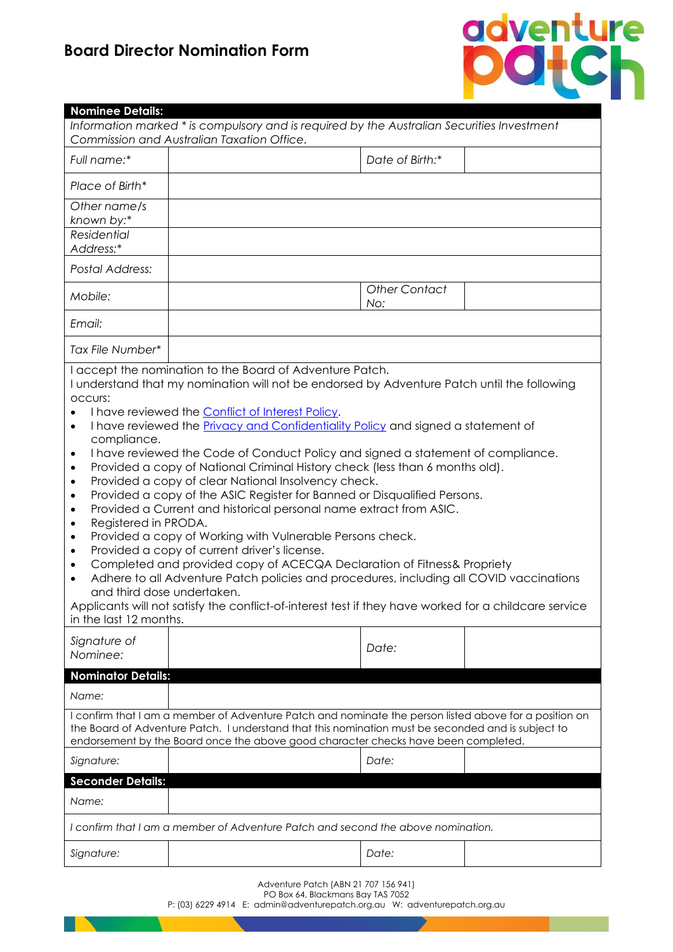# **Board Director Nomination Form**



| Information marked * is compulsory and is required by the Australian Securities Investment<br>Commission and Australian Taxation Office.<br>Full name:*<br>Date of Birth:*<br>Place of Birth*<br>Other name/s<br>known by:*<br><b>Residential</b><br>Address:*<br>Postal Address:<br><b>Other Contact</b><br>Mobile:<br>No:<br>Email:<br>Tax File Number*<br>I accept the nomination to the Board of Adventure Patch.<br>I understand that my nomination will not be endorsed by Adventure Patch until the following<br>occurs:<br>I have reviewed the <b>Conflict of Interest Policy</b> .<br>I have reviewed the Privacy and Confidentiality Policy and signed a statement of<br>$\bullet$<br>compliance.<br>I have reviewed the Code of Conduct Policy and signed a statement of compliance.<br>$\bullet$<br>Provided a copy of National Criminal History check (less than 6 months old).<br>$\bullet$<br>Provided a copy of clear National Insolvency check.<br>$\bullet$<br>Provided a copy of the ASIC Register for Banned or Disqualified Persons.<br>$\bullet$<br>Provided a Current and historical personal name extract from ASIC.<br>$\bullet$<br>Registered in PRODA.<br>$\bullet$<br>Provided a copy of Working with Vulnerable Persons check.<br>٠<br>Provided a copy of current driver's license.<br>٠<br>Completed and provided copy of ACECQA Declaration of Fitness& Propriety<br>٠<br>Adhere to all Adventure Patch policies and procedures, including all COVID vaccinations<br>$\bullet$<br>and third dose undertaken.<br>Applicants will not satisfy the conflict-of-interest test if they have worked for a childcare service<br>in the last 12 months.<br>Signature of<br>Date:<br>Nominee:<br><b>Nominator Details:</b><br>Name:<br>I confirm that I am a member of Adventure Patch and nominate the person listed above for a position on<br>the Board of Adventure Patch. I understand that this nomination must be seconded and is subject to<br>endorsement by the Board once the above good character checks have been completed.<br>Date:<br>Signature:<br><b>Seconder Details:</b> | <b>Nominee Details:</b> |  |  |  |  |
|--------------------------------------------------------------------------------------------------------------------------------------------------------------------------------------------------------------------------------------------------------------------------------------------------------------------------------------------------------------------------------------------------------------------------------------------------------------------------------------------------------------------------------------------------------------------------------------------------------------------------------------------------------------------------------------------------------------------------------------------------------------------------------------------------------------------------------------------------------------------------------------------------------------------------------------------------------------------------------------------------------------------------------------------------------------------------------------------------------------------------------------------------------------------------------------------------------------------------------------------------------------------------------------------------------------------------------------------------------------------------------------------------------------------------------------------------------------------------------------------------------------------------------------------------------------------------------------------------------------------------------------------------------------------------------------------------------------------------------------------------------------------------------------------------------------------------------------------------------------------------------------------------------------------------------------------------------------------------------------------------------------------------------------------------------------------------------------------------------------------|-------------------------|--|--|--|--|
|                                                                                                                                                                                                                                                                                                                                                                                                                                                                                                                                                                                                                                                                                                                                                                                                                                                                                                                                                                                                                                                                                                                                                                                                                                                                                                                                                                                                                                                                                                                                                                                                                                                                                                                                                                                                                                                                                                                                                                                                                                                                                                                    |                         |  |  |  |  |
|                                                                                                                                                                                                                                                                                                                                                                                                                                                                                                                                                                                                                                                                                                                                                                                                                                                                                                                                                                                                                                                                                                                                                                                                                                                                                                                                                                                                                                                                                                                                                                                                                                                                                                                                                                                                                                                                                                                                                                                                                                                                                                                    |                         |  |  |  |  |
|                                                                                                                                                                                                                                                                                                                                                                                                                                                                                                                                                                                                                                                                                                                                                                                                                                                                                                                                                                                                                                                                                                                                                                                                                                                                                                                                                                                                                                                                                                                                                                                                                                                                                                                                                                                                                                                                                                                                                                                                                                                                                                                    |                         |  |  |  |  |
|                                                                                                                                                                                                                                                                                                                                                                                                                                                                                                                                                                                                                                                                                                                                                                                                                                                                                                                                                                                                                                                                                                                                                                                                                                                                                                                                                                                                                                                                                                                                                                                                                                                                                                                                                                                                                                                                                                                                                                                                                                                                                                                    |                         |  |  |  |  |
|                                                                                                                                                                                                                                                                                                                                                                                                                                                                                                                                                                                                                                                                                                                                                                                                                                                                                                                                                                                                                                                                                                                                                                                                                                                                                                                                                                                                                                                                                                                                                                                                                                                                                                                                                                                                                                                                                                                                                                                                                                                                                                                    |                         |  |  |  |  |
|                                                                                                                                                                                                                                                                                                                                                                                                                                                                                                                                                                                                                                                                                                                                                                                                                                                                                                                                                                                                                                                                                                                                                                                                                                                                                                                                                                                                                                                                                                                                                                                                                                                                                                                                                                                                                                                                                                                                                                                                                                                                                                                    |                         |  |  |  |  |
|                                                                                                                                                                                                                                                                                                                                                                                                                                                                                                                                                                                                                                                                                                                                                                                                                                                                                                                                                                                                                                                                                                                                                                                                                                                                                                                                                                                                                                                                                                                                                                                                                                                                                                                                                                                                                                                                                                                                                                                                                                                                                                                    |                         |  |  |  |  |
|                                                                                                                                                                                                                                                                                                                                                                                                                                                                                                                                                                                                                                                                                                                                                                                                                                                                                                                                                                                                                                                                                                                                                                                                                                                                                                                                                                                                                                                                                                                                                                                                                                                                                                                                                                                                                                                                                                                                                                                                                                                                                                                    |                         |  |  |  |  |
|                                                                                                                                                                                                                                                                                                                                                                                                                                                                                                                                                                                                                                                                                                                                                                                                                                                                                                                                                                                                                                                                                                                                                                                                                                                                                                                                                                                                                                                                                                                                                                                                                                                                                                                                                                                                                                                                                                                                                                                                                                                                                                                    |                         |  |  |  |  |
|                                                                                                                                                                                                                                                                                                                                                                                                                                                                                                                                                                                                                                                                                                                                                                                                                                                                                                                                                                                                                                                                                                                                                                                                                                                                                                                                                                                                                                                                                                                                                                                                                                                                                                                                                                                                                                                                                                                                                                                                                                                                                                                    |                         |  |  |  |  |
|                                                                                                                                                                                                                                                                                                                                                                                                                                                                                                                                                                                                                                                                                                                                                                                                                                                                                                                                                                                                                                                                                                                                                                                                                                                                                                                                                                                                                                                                                                                                                                                                                                                                                                                                                                                                                                                                                                                                                                                                                                                                                                                    |                         |  |  |  |  |
|                                                                                                                                                                                                                                                                                                                                                                                                                                                                                                                                                                                                                                                                                                                                                                                                                                                                                                                                                                                                                                                                                                                                                                                                                                                                                                                                                                                                                                                                                                                                                                                                                                                                                                                                                                                                                                                                                                                                                                                                                                                                                                                    |                         |  |  |  |  |
|                                                                                                                                                                                                                                                                                                                                                                                                                                                                                                                                                                                                                                                                                                                                                                                                                                                                                                                                                                                                                                                                                                                                                                                                                                                                                                                                                                                                                                                                                                                                                                                                                                                                                                                                                                                                                                                                                                                                                                                                                                                                                                                    |                         |  |  |  |  |
|                                                                                                                                                                                                                                                                                                                                                                                                                                                                                                                                                                                                                                                                                                                                                                                                                                                                                                                                                                                                                                                                                                                                                                                                                                                                                                                                                                                                                                                                                                                                                                                                                                                                                                                                                                                                                                                                                                                                                                                                                                                                                                                    |                         |  |  |  |  |
|                                                                                                                                                                                                                                                                                                                                                                                                                                                                                                                                                                                                                                                                                                                                                                                                                                                                                                                                                                                                                                                                                                                                                                                                                                                                                                                                                                                                                                                                                                                                                                                                                                                                                                                                                                                                                                                                                                                                                                                                                                                                                                                    |                         |  |  |  |  |
|                                                                                                                                                                                                                                                                                                                                                                                                                                                                                                                                                                                                                                                                                                                                                                                                                                                                                                                                                                                                                                                                                                                                                                                                                                                                                                                                                                                                                                                                                                                                                                                                                                                                                                                                                                                                                                                                                                                                                                                                                                                                                                                    |                         |  |  |  |  |
|                                                                                                                                                                                                                                                                                                                                                                                                                                                                                                                                                                                                                                                                                                                                                                                                                                                                                                                                                                                                                                                                                                                                                                                                                                                                                                                                                                                                                                                                                                                                                                                                                                                                                                                                                                                                                                                                                                                                                                                                                                                                                                                    | Name:                   |  |  |  |  |
| I confirm that I am a member of Adventure Patch and second the above nomination.                                                                                                                                                                                                                                                                                                                                                                                                                                                                                                                                                                                                                                                                                                                                                                                                                                                                                                                                                                                                                                                                                                                                                                                                                                                                                                                                                                                                                                                                                                                                                                                                                                                                                                                                                                                                                                                                                                                                                                                                                                   |                         |  |  |  |  |
| Signature:<br>Date:                                                                                                                                                                                                                                                                                                                                                                                                                                                                                                                                                                                                                                                                                                                                                                                                                                                                                                                                                                                                                                                                                                                                                                                                                                                                                                                                                                                                                                                                                                                                                                                                                                                                                                                                                                                                                                                                                                                                                                                                                                                                                                |                         |  |  |  |  |

Adventure Patch (ABN 21 707 156 941) PO Box 64, Blackmans Bay TAS 7052

P: (03) 6229 4914 E: [admin@adventurepatch.org.au](mailto:admin@adventurepatch.org.au) W: [adventurepatch.org.au](http://www.adventurepatch.org.au/)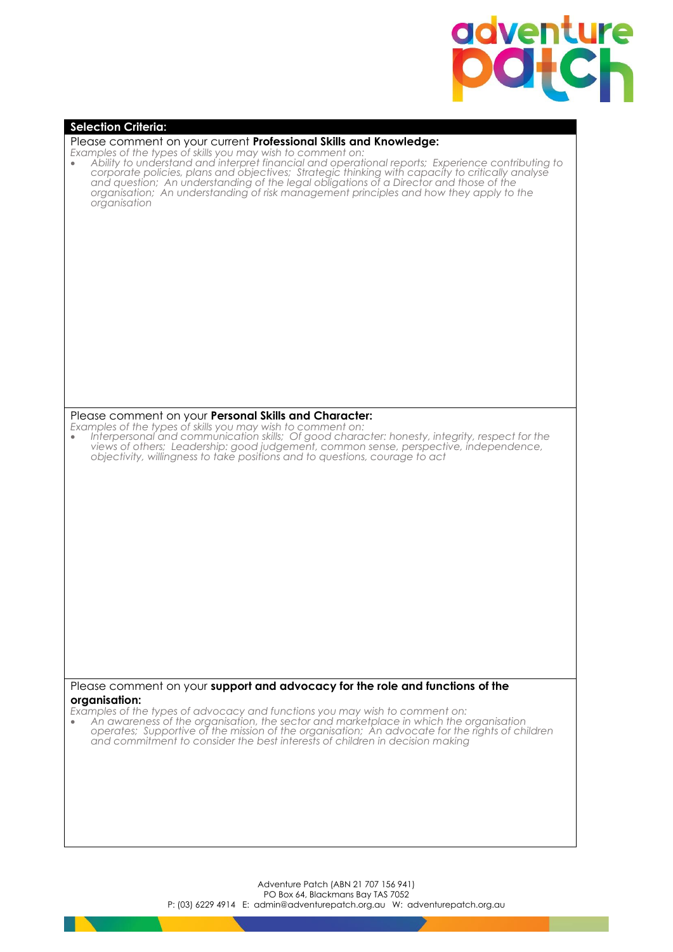# **adventure**

| <b>Selection Criteria:</b>                                                                                                                                                                                                                                                                                                                                                                                                                                                                                                                    |
|-----------------------------------------------------------------------------------------------------------------------------------------------------------------------------------------------------------------------------------------------------------------------------------------------------------------------------------------------------------------------------------------------------------------------------------------------------------------------------------------------------------------------------------------------|
| Please comment on your current Professional Skills and Knowledge:<br>Examples of the types of skills you may wish to comment on:<br>Ability to understand and interpret financial and operational reports; Experience contributing to<br>corporate policies, plans and objectives; Strategic thinking with capacity to critically analyse<br>and question; An understanding of the legal obligations of a Director and those of the<br>organisation; An understanding of risk management principles and how they apply to the<br>organisation |
|                                                                                                                                                                                                                                                                                                                                                                                                                                                                                                                                               |
|                                                                                                                                                                                                                                                                                                                                                                                                                                                                                                                                               |
|                                                                                                                                                                                                                                                                                                                                                                                                                                                                                                                                               |
| Please comment on your Personal Skills and Character:<br>Examples of the types of skills you may wish to comment on:<br>Interpersonal and communication skills; Of good character: honesty, integrity, respect for the<br>views of others; Leadership: good judgement, common sense, perspective, independence,<br>objectivity, willingness to take positions and to questions, courage to act<br>Please comment on your support and advocacy for the role and functions of the                                                               |
| organisation:<br>Examples of the types of advocacy and functions you may wish to comment on:<br>An awareness of the organisation, the sector and marketplace in which the organisation<br>operates; Supportive of the mission of the organisation; An advocate for the rights of children and commitment to consider the best interests of children in decision making                                                                                                                                                                        |
|                                                                                                                                                                                                                                                                                                                                                                                                                                                                                                                                               |

Adventure Patch (ABN 21 707 156 941) PO Box 64, Blackmans Bay TAS 7052 P: (03) 6229 4914 E: [admin@adventurepatch.org.au](mailto:admin@adventurepatch.org.au) W: [adventurepatch.org.au](http://www.adventurepatch.org.au/)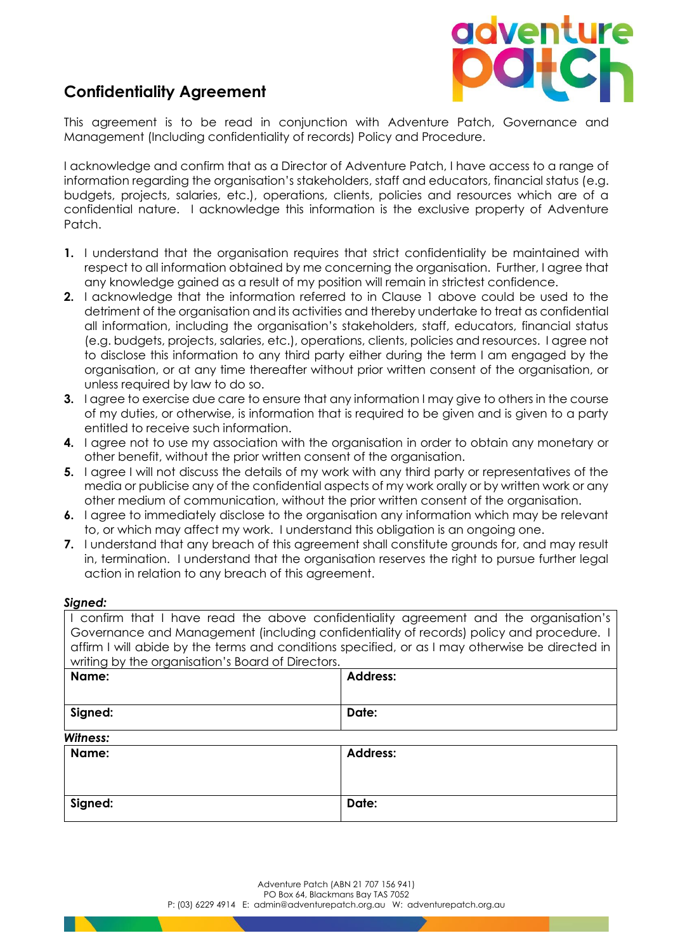# **Confidentiality Agreement**



This agreement is to be read in conjunction with Adventure Patch, Governance and Management (Including confidentiality of records) Policy and Procedure.

I acknowledge and confirm that as a Director of Adventure Patch, I have access to a range of information regarding the organisation's stakeholders, staff and educators, financial status (e.g. budgets, projects, salaries, etc.), operations, clients, policies and resources which are of a confidential nature. I acknowledge this information is the exclusive property of Adventure Patch.

- **1.** I understand that the organisation requires that strict confidentiality be maintained with respect to all information obtained by me concerning the organisation. Further, I agree that any knowledge gained as a result of my position will remain in strictest confidence.
- **2.** I acknowledge that the information referred to in Clause 1 above could be used to the detriment of the organisation and its activities and thereby undertake to treat as confidential all information, including the organisation's stakeholders, staff, educators, financial status (e.g. budgets, projects, salaries, etc.), operations, clients, policies and resources. I agree not to disclose this information to any third party either during the term I am engaged by the organisation, or at any time thereafter without prior written consent of the organisation, or unless required by law to do so.
- **3.** I agree to exercise due care to ensure that any information I may give to others in the course of my duties, or otherwise, is information that is required to be given and is given to a party entitled to receive such information.
- **4.** I agree not to use my association with the organisation in order to obtain any monetary or other benefit, without the prior written consent of the organisation.
- **5.** I agree I will not discuss the details of my work with any third party or representatives of the media or publicise any of the confidential aspects of my work orally or by written work or any other medium of communication, without the prior written consent of the organisation.
- **6.** I agree to immediately disclose to the organisation any information which may be relevant to, or which may affect my work. I understand this obligation is an ongoing one.
- **7.** I understand that any breach of this agreement shall constitute grounds for, and may result in, termination. I understand that the organisation reserves the right to pursue further legal action in relation to any breach of this agreement.

### *Signed:*

| I confirm that I have read the above confidentiality agreement and the organisation's<br>Governance and Management (including confidentiality of records) policy and procedure. I<br>affirm I will abide by the terms and conditions specified, or as I may otherwise be directed in<br>writing by the organisation's Board of Directors. |                 |  |  |  |
|-------------------------------------------------------------------------------------------------------------------------------------------------------------------------------------------------------------------------------------------------------------------------------------------------------------------------------------------|-----------------|--|--|--|
| Name:                                                                                                                                                                                                                                                                                                                                     | Address:        |  |  |  |
| Signed:                                                                                                                                                                                                                                                                                                                                   | Date:           |  |  |  |
| Witness:                                                                                                                                                                                                                                                                                                                                  |                 |  |  |  |
| Name:                                                                                                                                                                                                                                                                                                                                     | <b>Address:</b> |  |  |  |
| Signed:                                                                                                                                                                                                                                                                                                                                   | Date:           |  |  |  |